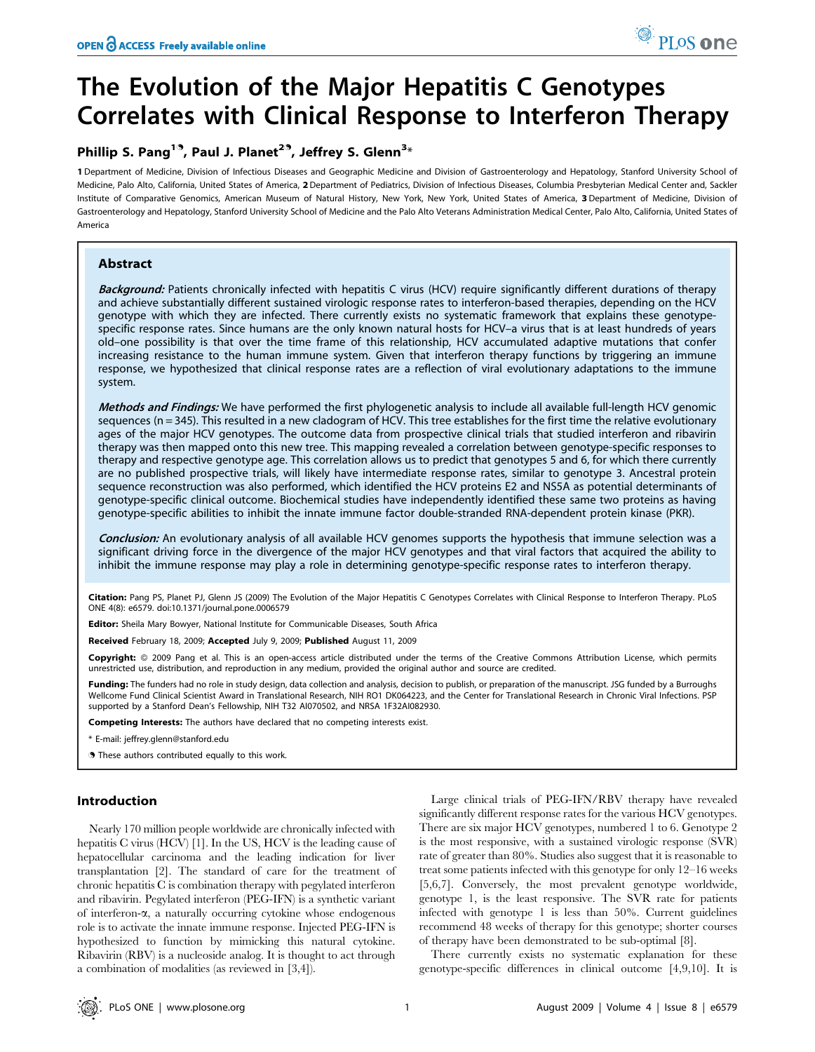# The Evolution of the Major Hepatitis C Genotypes Correlates with Clinical Response to Interferon Therapy

# Phillip S. Pang<sup>19</sup>, Paul J. Planet<sup>29</sup>, Jeffrey S. Glenn<sup>3</sup>\*

1 Department of Medicine, Division of Infectious Diseases and Geographic Medicine and Division of Gastroenterology and Hepatology, Stanford University School of Medicine, Palo Alto, California, United States of America, 2Department of Pediatrics, Division of Infectious Diseases, Columbia Presbyterian Medical Center and, Sackler Institute of Comparative Genomics, American Museum of Natural History, New York, New York, United States of America, 3 Department of Medicine, Division of Gastroenterology and Hepatology, Stanford University School of Medicine and the Palo Alto Veterans Administration Medical Center, Palo Alto, California, United States of America

# Abstract

Background: Patients chronically infected with hepatitis C virus (HCV) require significantly different durations of therapy and achieve substantially different sustained virologic response rates to interferon-based therapies, depending on the HCV genotype with which they are infected. There currently exists no systematic framework that explains these genotypespecific response rates. Since humans are the only known natural hosts for HCV–a virus that is at least hundreds of years old–one possibility is that over the time frame of this relationship, HCV accumulated adaptive mutations that confer increasing resistance to the human immune system. Given that interferon therapy functions by triggering an immune response, we hypothesized that clinical response rates are a reflection of viral evolutionary adaptations to the immune system.

Methods and Findings: We have performed the first phylogenetic analysis to include all available full-length HCV genomic sequences ( $n = 345$ ). This resulted in a new cladogram of HCV. This tree establishes for the first time the relative evolutionary ages of the major HCV genotypes. The outcome data from prospective clinical trials that studied interferon and ribavirin therapy was then mapped onto this new tree. This mapping revealed a correlation between genotype-specific responses to therapy and respective genotype age. This correlation allows us to predict that genotypes 5 and 6, for which there currently are no published prospective trials, will likely have intermediate response rates, similar to genotype 3. Ancestral protein sequence reconstruction was also performed, which identified the HCV proteins E2 and NS5A as potential determinants of genotype-specific clinical outcome. Biochemical studies have independently identified these same two proteins as having genotype-specific abilities to inhibit the innate immune factor double-stranded RNA-dependent protein kinase (PKR).

Conclusion: An evolutionary analysis of all available HCV genomes supports the hypothesis that immune selection was a significant driving force in the divergence of the major HCV genotypes and that viral factors that acquired the ability to inhibit the immune response may play a role in determining genotype-specific response rates to interferon therapy.

Citation: Pang PS, Planet PJ, Glenn JS (2009) The Evolution of the Major Hepatitis C Genotypes Correlates with Clinical Response to Interferon Therapy. PLoS ONE 4(8): e6579. doi:10.1371/journal.pone.0006579

Editor: Sheila Mary Bowyer, National Institute for Communicable Diseases, South Africa

Received February 18, 2009; Accepted July 9, 2009; Published August 11, 2009

Copyright: @ 2009 Pang et al. This is an open-access article distributed under the terms of the Creative Commons Attribution License, which permits unrestricted use, distribution, and reproduction in any medium, provided the original author and source are credited.

Funding: The funders had no role in study design, data collection and analysis, decision to publish, or preparation of the manuscript. JSG funded by a Burroughs Wellcome Fund Clinical Scientist Award in Translational Research, NIH RO1 DK064223, and the Center for Translational Research in Chronic Viral Infections. PSP supported by a Stanford Dean's Fellowship, NIH T32 AI070502, and NRSA 1F32AI082930.

Competing Interests: The authors have declared that no competing interests exist.

\* E-mail: jeffrey.glenn@stanford.edu

. These authors contributed equally to this work.

# Introduction

Nearly 170 million people worldwide are chronically infected with hepatitis C virus (HCV) [1]. In the US, HCV is the leading cause of hepatocellular carcinoma and the leading indication for liver transplantation [2]. The standard of care for the treatment of chronic hepatitis C is combination therapy with pegylated interferon and ribavirin. Pegylated interferon (PEG-IFN) is a synthetic variant of interferon-a, a naturally occurring cytokine whose endogenous role is to activate the innate immune response. Injected PEG-IFN is hypothesized to function by mimicking this natural cytokine. Ribavirin (RBV) is a nucleoside analog. It is thought to act through a combination of modalities (as reviewed in [3,4]).

Large clinical trials of PEG-IFN/RBV therapy have revealed significantly different response rates for the various HCV genotypes. There are six major HCV genotypes, numbered 1 to 6. Genotype 2 is the most responsive, with a sustained virologic response (SVR) rate of greater than 80%. Studies also suggest that it is reasonable to treat some patients infected with this genotype for only 12–16 weeks [5,6,7]. Conversely, the most prevalent genotype worldwide, genotype 1, is the least responsive. The SVR rate for patients infected with genotype 1 is less than 50%. Current guidelines recommend 48 weeks of therapy for this genotype; shorter courses of therapy have been demonstrated to be sub-optimal [8].

There currently exists no systematic explanation for these genotype-specific differences in clinical outcome [4,9,10]. It is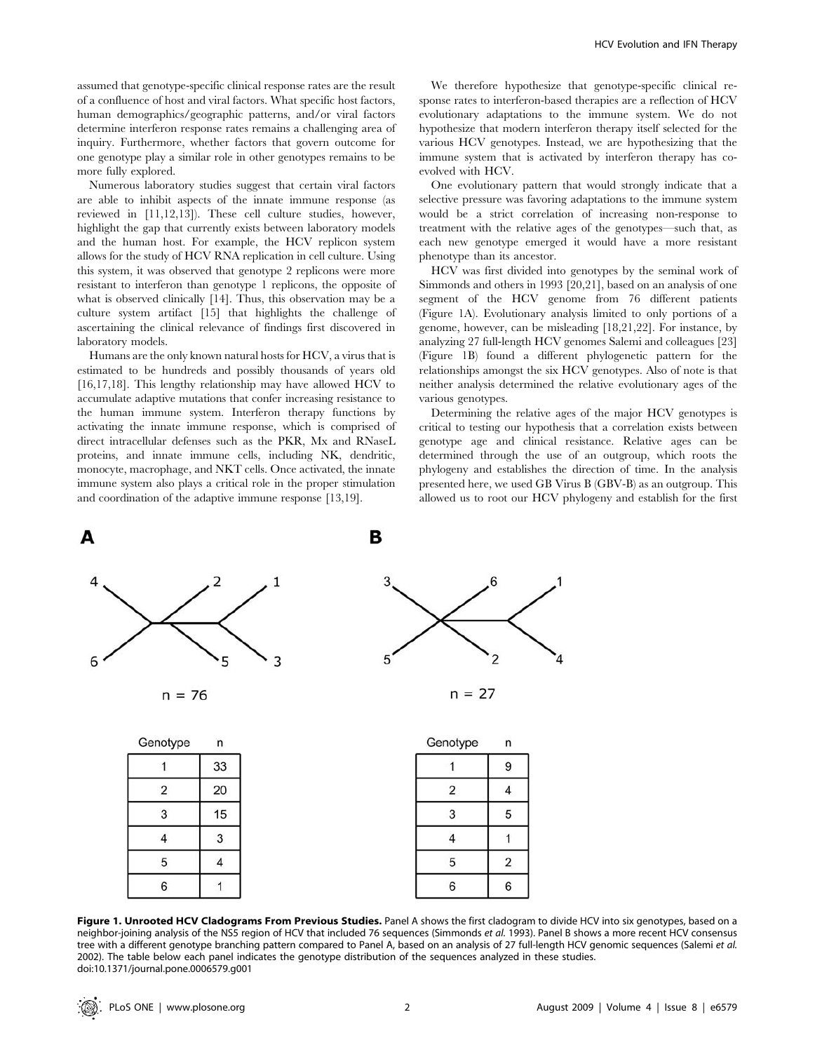assumed that genotype-specific clinical response rates are the result of a confluence of host and viral factors. What specific host factors, human demographics/geographic patterns, and/or viral factors determine interferon response rates remains a challenging area of inquiry. Furthermore, whether factors that govern outcome for one genotype play a similar role in other genotypes remains to be more fully explored.

Numerous laboratory studies suggest that certain viral factors are able to inhibit aspects of the innate immune response (as reviewed in [11,12,13]). These cell culture studies, however, highlight the gap that currently exists between laboratory models and the human host. For example, the HCV replicon system allows for the study of HCV RNA replication in cell culture. Using this system, it was observed that genotype 2 replicons were more resistant to interferon than genotype 1 replicons, the opposite of what is observed clinically [14]. Thus, this observation may be a culture system artifact [15] that highlights the challenge of ascertaining the clinical relevance of findings first discovered in laboratory models.

Humans are the only known natural hosts for HCV, a virus that is estimated to be hundreds and possibly thousands of years old [16,17,18]. This lengthy relationship may have allowed HCV to accumulate adaptive mutations that confer increasing resistance to the human immune system. Interferon therapy functions by activating the innate immune response, which is comprised of direct intracellular defenses such as the PKR, Mx and RNaseL proteins, and innate immune cells, including NK, dendritic, monocyte, macrophage, and NKT cells. Once activated, the innate immune system also plays a critical role in the proper stimulation and coordination of the adaptive immune response [13,19].

We therefore hypothesize that genotype-specific clinical response rates to interferon-based therapies are a reflection of HCV evolutionary adaptations to the immune system. We do not hypothesize that modern interferon therapy itself selected for the various HCV genotypes. Instead, we are hypothesizing that the immune system that is activated by interferon therapy has coevolved with HCV.

One evolutionary pattern that would strongly indicate that a selective pressure was favoring adaptations to the immune system would be a strict correlation of increasing non-response to treatment with the relative ages of the genotypes—such that, as each new genotype emerged it would have a more resistant phenotype than its ancestor.

HCV was first divided into genotypes by the seminal work of Simmonds and others in 1993 [20,21], based on an analysis of one segment of the HCV genome from 76 different patients (Figure 1A). Evolutionary analysis limited to only portions of a genome, however, can be misleading [18,21,22]. For instance, by analyzing 27 full-length HCV genomes Salemi and colleagues [23] (Figure 1B) found a different phylogenetic pattern for the relationships amongst the six HCV genotypes. Also of note is that neither analysis determined the relative evolutionary ages of the various genotypes.

Determining the relative ages of the major HCV genotypes is critical to testing our hypothesis that a correlation exists between genotype age and clinical resistance. Relative ages can be determined through the use of an outgroup, which roots the phylogeny and establishes the direction of time. In the analysis presented here, we used GB Virus B (GBV-B) as an outgroup. This allowed us to root our HCV phylogeny and establish for the first



| 33 |
|----|
| 20 |
| 15 |
| 3  |
| 4  |
|    |
|    |

| Genotype | n              |
|----------|----------------|
|          | 9              |
| 2        | 4              |
| 3        | 5              |
| 4        |                |
| 5        | $\overline{2}$ |
| 6        | 6              |

Figure 1. Unrooted HCV Cladograms From Previous Studies. Panel A shows the first cladogram to divide HCV into six genotypes, based on a neighbor-joining analysis of the NS5 region of HCV that included 76 sequences (Simmonds et al. 1993). Panel B shows a more recent HCV consensus tree with a different genotype branching pattern compared to Panel A, based on an analysis of 27 full-length HCV genomic sequences (Salemi et al. 2002). The table below each panel indicates the genotype distribution of the sequences analyzed in these studies. doi:10.1371/journal.pone.0006579.g001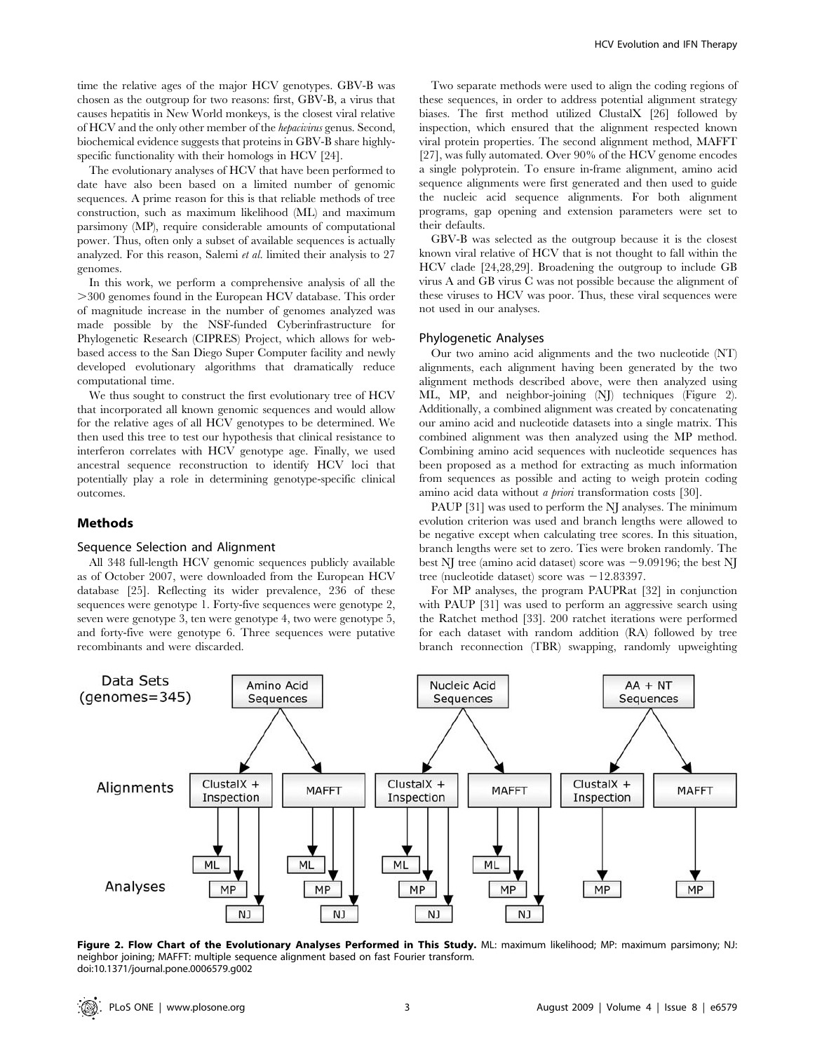time the relative ages of the major HCV genotypes. GBV-B was chosen as the outgroup for two reasons: first, GBV-B, a virus that causes hepatitis in New World monkeys, is the closest viral relative of HCV and the only other member of the hepacivirus genus. Second, biochemical evidence suggests that proteins in GBV-B share highlyspecific functionality with their homologs in HCV [24].

The evolutionary analyses of HCV that have been performed to date have also been based on a limited number of genomic sequences. A prime reason for this is that reliable methods of tree construction, such as maximum likelihood (ML) and maximum parsimony (MP), require considerable amounts of computational power. Thus, often only a subset of available sequences is actually analyzed. For this reason, Salemi et al. limited their analysis to 27 genomes.

In this work, we perform a comprehensive analysis of all the .300 genomes found in the European HCV database. This order of magnitude increase in the number of genomes analyzed was made possible by the NSF-funded Cyberinfrastructure for Phylogenetic Research (CIPRES) Project, which allows for webbased access to the San Diego Super Computer facility and newly developed evolutionary algorithms that dramatically reduce computational time.

We thus sought to construct the first evolutionary tree of HCV that incorporated all known genomic sequences and would allow for the relative ages of all HCV genotypes to be determined. We then used this tree to test our hypothesis that clinical resistance to interferon correlates with HCV genotype age. Finally, we used ancestral sequence reconstruction to identify HCV loci that potentially play a role in determining genotype-specific clinical outcomes.

#### Methods

#### Sequence Selection and Alignment

All 348 full-length HCV genomic sequences publicly available as of October 2007, were downloaded from the European HCV database [25]. Reflecting its wider prevalence, 236 of these sequences were genotype 1. Forty-five sequences were genotype 2, seven were genotype 3, ten were genotype 4, two were genotype 5, and forty-five were genotype 6. Three sequences were putative recombinants and were discarded.

Two separate methods were used to align the coding regions of these sequences, in order to address potential alignment strategy biases. The first method utilized ClustalX [26] followed by inspection, which ensured that the alignment respected known viral protein properties. The second alignment method, MAFFT [27], was fully automated. Over 90% of the HCV genome encodes a single polyprotein. To ensure in-frame alignment, amino acid sequence alignments were first generated and then used to guide the nucleic acid sequence alignments. For both alignment programs, gap opening and extension parameters were set to their defaults.

GBV-B was selected as the outgroup because it is the closest known viral relative of HCV that is not thought to fall within the HCV clade [24,28,29]. Broadening the outgroup to include GB virus A and GB virus C was not possible because the alignment of these viruses to HCV was poor. Thus, these viral sequences were not used in our analyses.

# Phylogenetic Analyses

Our two amino acid alignments and the two nucleotide (NT) alignments, each alignment having been generated by the two alignment methods described above, were then analyzed using ML, MP, and neighbor-joining (NJ) techniques (Figure 2). Additionally, a combined alignment was created by concatenating our amino acid and nucleotide datasets into a single matrix. This combined alignment was then analyzed using the MP method. Combining amino acid sequences with nucleotide sequences has been proposed as a method for extracting as much information from sequences as possible and acting to weigh protein coding amino acid data without *a priori* transformation costs [30].

PAUP [31] was used to perform the NJ analyses. The minimum evolution criterion was used and branch lengths were allowed to be negative except when calculating tree scores. In this situation, branch lengths were set to zero. Ties were broken randomly. The best NJ tree (amino acid dataset) score was  $-9.09196$ ; the best NJ tree (nucleotide dataset) score was  $-12.83397$ .

For MP analyses, the program PAUPRat [32] in conjunction with PAUP [31] was used to perform an aggressive search using the Ratchet method [33]. 200 ratchet iterations were performed for each dataset with random addition (RA) followed by tree branch reconnection (TBR) swapping, randomly upweighting



Figure 2. Flow Chart of the Evolutionary Analyses Performed in This Study. ML: maximum likelihood; MP: maximum parsimony; NJ: neighbor joining; MAFFT: multiple sequence alignment based on fast Fourier transform. doi:10.1371/journal.pone.0006579.g002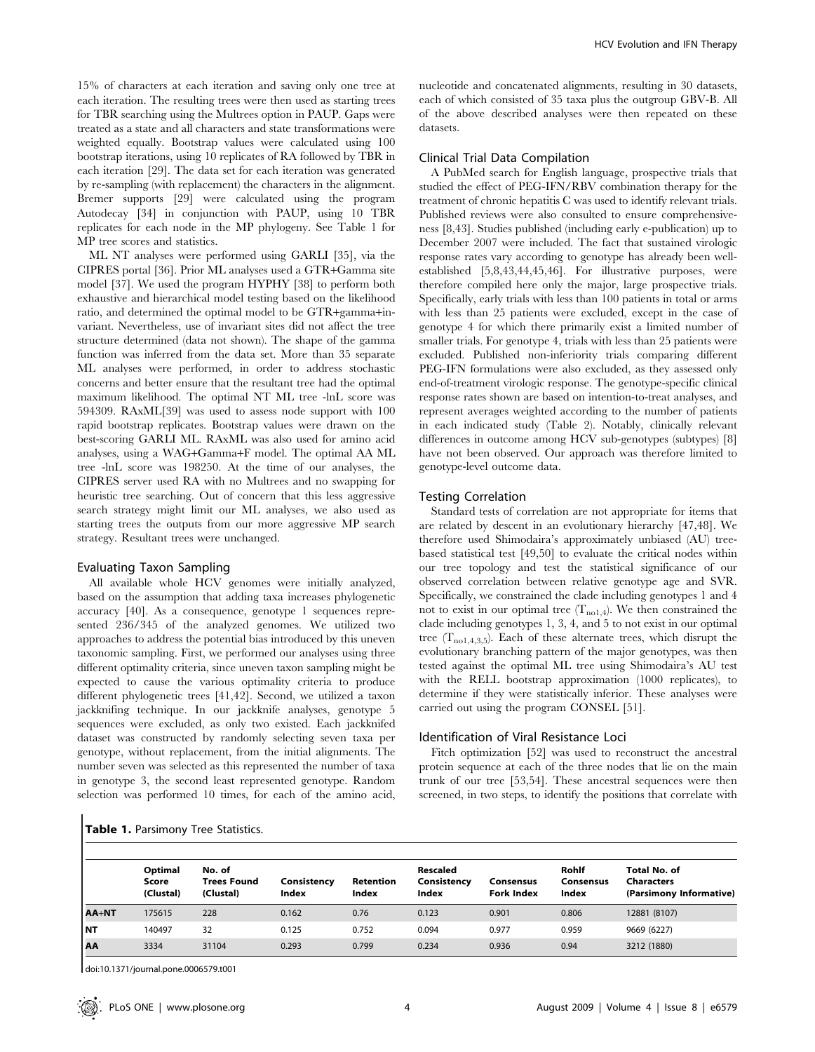15% of characters at each iteration and saving only one tree at each iteration. The resulting trees were then used as starting trees for TBR searching using the Multrees option in PAUP. Gaps were treated as a state and all characters and state transformations were weighted equally. Bootstrap values were calculated using 100 bootstrap iterations, using 10 replicates of RA followed by TBR in each iteration [29]. The data set for each iteration was generated by re-sampling (with replacement) the characters in the alignment. Bremer supports [29] were calculated using the program Autodecay [34] in conjunction with PAUP, using 10 TBR replicates for each node in the MP phylogeny. See Table 1 for MP tree scores and statistics.

ML NT analyses were performed using GARLI [35], via the CIPRES portal [36]. Prior ML analyses used a GTR+Gamma site model [37]. We used the program HYPHY [38] to perform both exhaustive and hierarchical model testing based on the likelihood ratio, and determined the optimal model to be GTR+gamma+invariant. Nevertheless, use of invariant sites did not affect the tree structure determined (data not shown). The shape of the gamma function was inferred from the data set. More than 35 separate ML analyses were performed, in order to address stochastic concerns and better ensure that the resultant tree had the optimal maximum likelihood. The optimal NT ML tree -lnL score was 594309. RAxML[39] was used to assess node support with 100 rapid bootstrap replicates. Bootstrap values were drawn on the best-scoring GARLI ML. RAxML was also used for amino acid analyses, using a WAG+Gamma+F model. The optimal AA ML tree -lnL score was 198250. At the time of our analyses, the CIPRES server used RA with no Multrees and no swapping for heuristic tree searching. Out of concern that this less aggressive search strategy might limit our ML analyses, we also used as starting trees the outputs from our more aggressive MP search strategy. Resultant trees were unchanged.

#### Evaluating Taxon Sampling

All available whole HCV genomes were initially analyzed, based on the assumption that adding taxa increases phylogenetic accuracy [40]. As a consequence, genotype 1 sequences represented 236/345 of the analyzed genomes. We utilized two approaches to address the potential bias introduced by this uneven taxonomic sampling. First, we performed our analyses using three different optimality criteria, since uneven taxon sampling might be expected to cause the various optimality criteria to produce different phylogenetic trees [41,42]. Second, we utilized a taxon jackknifing technique. In our jackknife analyses, genotype 5 sequences were excluded, as only two existed. Each jackknifed dataset was constructed by randomly selecting seven taxa per genotype, without replacement, from the initial alignments. The number seven was selected as this represented the number of taxa in genotype 3, the second least represented genotype. Random selection was performed 10 times, for each of the amino acid,

nucleotide and concatenated alignments, resulting in 30 datasets, each of which consisted of 35 taxa plus the outgroup GBV-B. All of the above described analyses were then repeated on these datasets.

# Clinical Trial Data Compilation

A PubMed search for English language, prospective trials that studied the effect of PEG-IFN/RBV combination therapy for the treatment of chronic hepatitis C was used to identify relevant trials. Published reviews were also consulted to ensure comprehensiveness [8,43]. Studies published (including early e-publication) up to December 2007 were included. The fact that sustained virologic response rates vary according to genotype has already been wellestablished [5,8,43,44,45,46]. For illustrative purposes, were therefore compiled here only the major, large prospective trials. Specifically, early trials with less than 100 patients in total or arms with less than 25 patients were excluded, except in the case of genotype 4 for which there primarily exist a limited number of smaller trials. For genotype 4, trials with less than 25 patients were excluded. Published non-inferiority trials comparing different PEG-IFN formulations were also excluded, as they assessed only end-of-treatment virologic response. The genotype-specific clinical response rates shown are based on intention-to-treat analyses, and represent averages weighted according to the number of patients in each indicated study (Table 2). Notably, clinically relevant differences in outcome among HCV sub-genotypes (subtypes) [8] have not been observed. Our approach was therefore limited to genotype-level outcome data.

#### Testing Correlation

Standard tests of correlation are not appropriate for items that are related by descent in an evolutionary hierarchy [47,48]. We therefore used Shimodaira's approximately unbiased (AU) treebased statistical test [49,50] to evaluate the critical nodes within our tree topology and test the statistical significance of our observed correlation between relative genotype age and SVR. Specifically, we constrained the clade including genotypes 1 and 4 not to exist in our optimal tree  $(T_{\text{no1,4}})$ . We then constrained the clade including genotypes 1, 3, 4, and 5 to not exist in our optimal tree  $(T_{\text{no1,4,3,5}})$ . Each of these alternate trees, which disrupt the evolutionary branching pattern of the major genotypes, was then tested against the optimal ML tree using Shimodaira's AU test with the RELL bootstrap approximation (1000 replicates), to determine if they were statistically inferior. These analyses were carried out using the program CONSEL [51].

# Identification of Viral Resistance Loci

Fitch optimization [52] was used to reconstruct the ancestral protein sequence at each of the three nodes that lie on the main trunk of our tree [53,54]. These ancestral sequences were then screened, in two steps, to identify the positions that correlate with

| Table 1. Parsimony Tree Statistics. |  |
|-------------------------------------|--|
|-------------------------------------|--|

|              | Optimal<br>Score<br>(Clustal) | No. of<br><b>Trees Found</b><br>(Clustal) | Consistency<br>Index | Retention<br>Index | <b>Rescaled</b><br>Consistency<br>Index | Consensus<br><b>Fork Index</b> | Rohlf<br>Consensus<br>Index | <b>Total No. of</b><br><b>Characters</b><br>(Parsimony Informative) |
|--------------|-------------------------------|-------------------------------------------|----------------------|--------------------|-----------------------------------------|--------------------------------|-----------------------------|---------------------------------------------------------------------|
| <b>AA+NT</b> | 175615                        | 228                                       | 0.162                | 0.76               | 0.123                                   | 0.901                          | 0.806                       | 12881 (8107)                                                        |
| l NT         | 140497                        | 32                                        | 0.125                | 0.752              | 0.094                                   | 0.977                          | 0.959                       | 9669 (6227)                                                         |
| <b>AA</b>    | 3334                          | 31104                                     | 0.293                | 0.799              | 0.234                                   | 0.936                          | 0.94                        | 3212 (1880)                                                         |

doi:10.1371/journal.pone.0006579.t001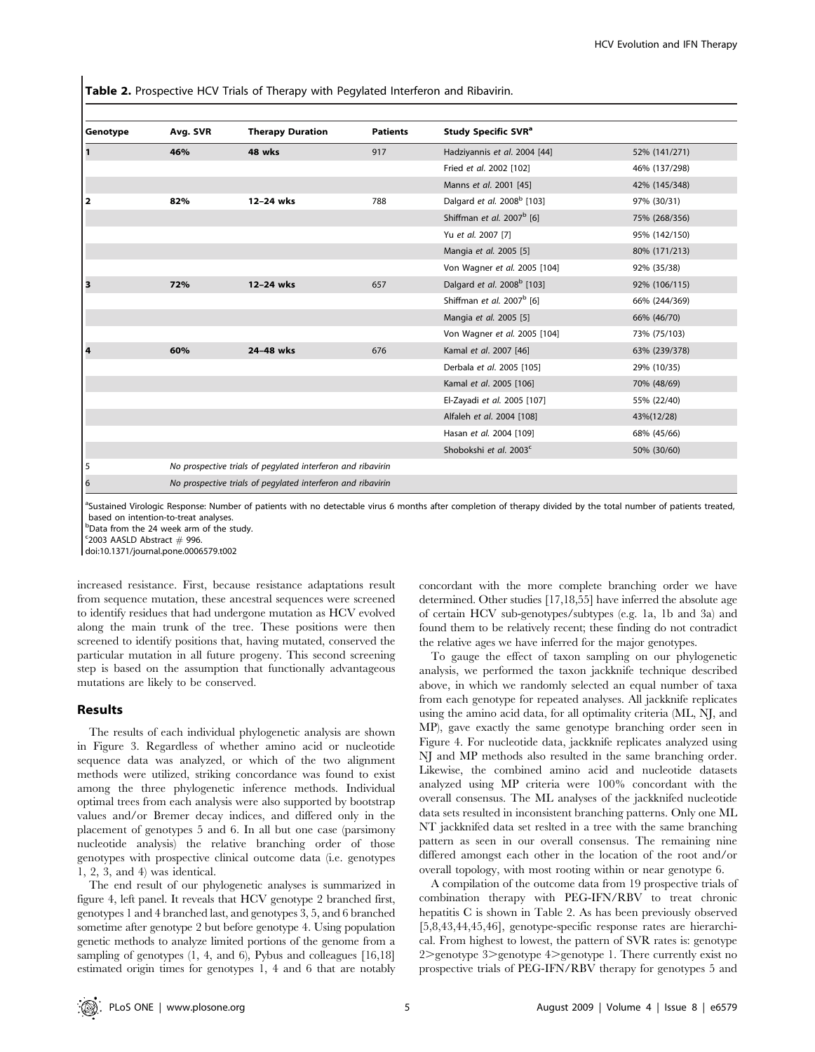Table 2. Prospective HCV Trials of Therapy with Pegylated Interferon and Ribavirin.

| Genotype                | Avg. SVR                                                    | <b>Therapy Duration</b> | <b>Patients</b> | Study Specific SVR <sup>a</sup>        |               |  |
|-------------------------|-------------------------------------------------------------|-------------------------|-----------------|----------------------------------------|---------------|--|
| $\mathbf{1}$            | 46%                                                         | 48 wks                  | 917             | Hadziyannis et al. 2004 [44]           | 52% (141/271) |  |
|                         |                                                             |                         |                 | Fried et al. 2002 [102]                | 46% (137/298) |  |
|                         |                                                             |                         |                 | Manns et al. 2001 [45]                 | 42% (145/348) |  |
| $\overline{\mathbf{2}}$ | 82%                                                         | 12-24 wks               | 788             | Dalgard et al. 2008 <sup>b</sup> [103] | 97% (30/31)   |  |
|                         |                                                             |                         |                 | Shiffman et al. 2007 <sup>b</sup> [6]  | 75% (268/356) |  |
|                         |                                                             |                         |                 | Yu et al. 2007 [7]                     | 95% (142/150) |  |
|                         |                                                             |                         |                 | Mangia et al. 2005 [5]                 | 80% (171/213) |  |
|                         |                                                             |                         |                 | Von Wagner et al. 2005 [104]           | 92% (35/38)   |  |
| з                       | 72%                                                         | 12-24 wks               | 657             | Dalgard et al. 2008 <sup>b</sup> [103] | 92% (106/115) |  |
|                         |                                                             |                         |                 | Shiffman et al. 2007 <sup>b</sup> [6]  | 66% (244/369) |  |
|                         |                                                             |                         |                 | Mangia et al. 2005 [5]                 | 66% (46/70)   |  |
|                         |                                                             |                         |                 | Von Wagner et al. 2005 [104]           | 73% (75/103)  |  |
| 4                       | 60%                                                         | 24-48 wks               | 676             | Kamal et al. 2007 [46]                 | 63% (239/378) |  |
|                         |                                                             |                         |                 | Derbala et al. 2005 [105]              | 29% (10/35)   |  |
|                         |                                                             |                         |                 | Kamal et al. 2005 [106]                | 70% (48/69)   |  |
|                         |                                                             |                         |                 | El-Zayadi et al. 2005 [107]            | 55% (22/40)   |  |
|                         |                                                             |                         |                 | Alfaleh et al. 2004 [108]              | 43%(12/28)    |  |
|                         |                                                             |                         |                 | Hasan et al. 2004 [109]                | 68% (45/66)   |  |
|                         |                                                             |                         |                 | Shobokshi et al. 2003 <sup>c</sup>     | 50% (30/60)   |  |
| 5                       | No prospective trials of pegylated interferon and ribavirin |                         |                 |                                        |               |  |
| 6                       | No prospective trials of pegylated interferon and ribavirin |                         |                 |                                        |               |  |

<sup>a</sup>Sustained Virologic Response: Number of patients with no detectable virus 6 months after completion of therapy divided by the total number of patients treated, based on intention-to-treat analyses.

b Data from the 24 week arm of the study.

c 2003 AASLD Abstract *#* 996. doi:10.1371/journal.pone.0006579.t002

increased resistance. First, because resistance adaptations result from sequence mutation, these ancestral sequences were screened to identify residues that had undergone mutation as HCV evolved along the main trunk of the tree. These positions were then screened to identify positions that, having mutated, conserved the particular mutation in all future progeny. This second screening step is based on the assumption that functionally advantageous mutations are likely to be conserved.

# Results

The results of each individual phylogenetic analysis are shown in Figure 3. Regardless of whether amino acid or nucleotide sequence data was analyzed, or which of the two alignment methods were utilized, striking concordance was found to exist among the three phylogenetic inference methods. Individual optimal trees from each analysis were also supported by bootstrap values and/or Bremer decay indices, and differed only in the placement of genotypes 5 and 6. In all but one case (parsimony nucleotide analysis) the relative branching order of those genotypes with prospective clinical outcome data (i.e. genotypes 1, 2, 3, and 4) was identical.

The end result of our phylogenetic analyses is summarized in figure 4, left panel. It reveals that HCV genotype 2 branched first, genotypes 1 and 4 branched last, and genotypes 3, 5, and 6 branched sometime after genotype 2 but before genotype 4. Using population genetic methods to analyze limited portions of the genome from a sampling of genotypes (1, 4, and 6), Pybus and colleagues [16,18] estimated origin times for genotypes 1, 4 and 6 that are notably

concordant with the more complete branching order we have determined. Other studies [17,18,55] have inferred the absolute age of certain HCV sub-genotypes/subtypes (e.g. 1a, 1b and 3a) and found them to be relatively recent; these finding do not contradict the relative ages we have inferred for the major genotypes.

To gauge the effect of taxon sampling on our phylogenetic analysis, we performed the taxon jackknife technique described above, in which we randomly selected an equal number of taxa from each genotype for repeated analyses. All jackknife replicates using the amino acid data, for all optimality criteria (ML, NJ, and MP), gave exactly the same genotype branching order seen in Figure 4. For nucleotide data, jackknife replicates analyzed using NJ and MP methods also resulted in the same branching order. Likewise, the combined amino acid and nucleotide datasets analyzed using MP criteria were 100% concordant with the overall consensus. The ML analyses of the jackknifed nucleotide data sets resulted in inconsistent branching patterns. Only one ML NT jackknifed data set reslted in a tree with the same branching pattern as seen in our overall consensus. The remaining nine differed amongst each other in the location of the root and/or overall topology, with most rooting within or near genotype 6.

A compilation of the outcome data from 19 prospective trials of combination therapy with PEG-IFN/RBV to treat chronic hepatitis C is shown in Table 2. As has been previously observed [5,8,43,44,45,46], genotype-specific response rates are hierarchical. From highest to lowest, the pattern of SVR rates is: genotype 2>genotype 3>genotype 4>genotype 1. There currently exist no prospective trials of PEG-IFN/RBV therapy for genotypes 5 and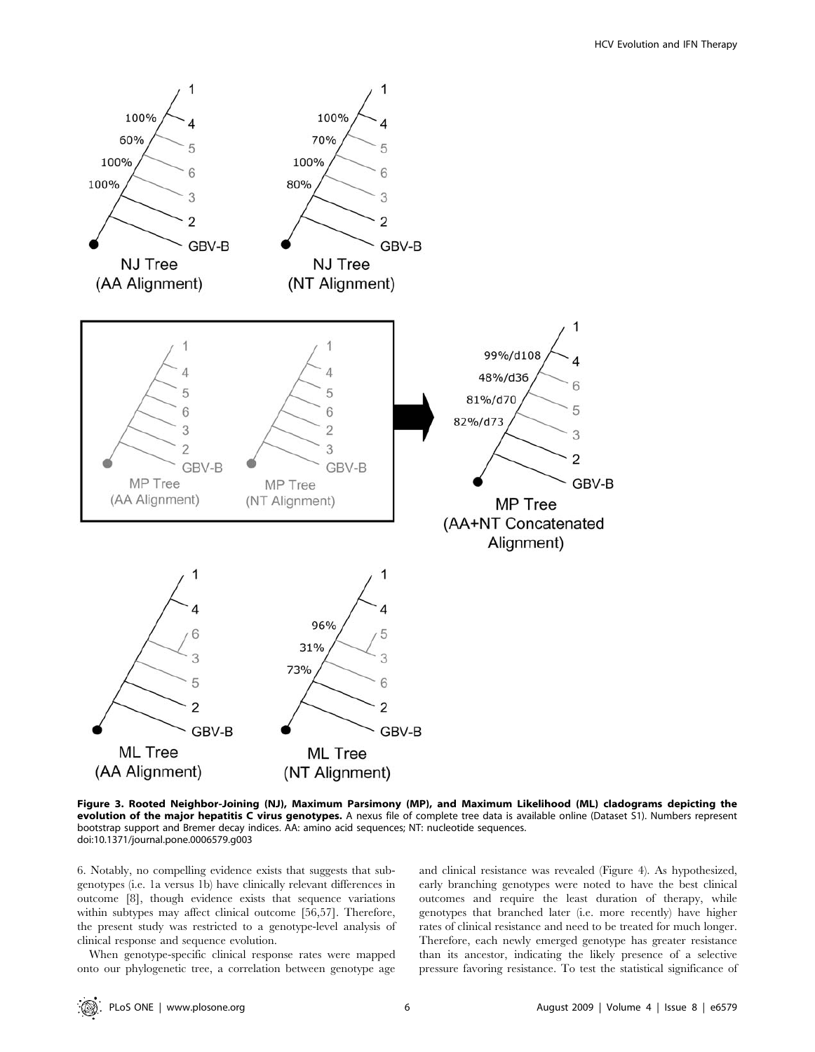

Figure 3. Rooted Neighbor-Joining (NJ), Maximum Parsimony (MP), and Maximum Likelihood (ML) cladograms depicting the evolution of the major hepatitis C virus genotypes. A nexus file of complete tree data is available online (Dataset S1). Numbers represent bootstrap support and Bremer decay indices. AA: amino acid sequences; NT: nucleotide sequences. doi:10.1371/journal.pone.0006579.g003

6. Notably, no compelling evidence exists that suggests that subgenotypes (i.e. 1a versus 1b) have clinically relevant differences in outcome [8], though evidence exists that sequence variations within subtypes may affect clinical outcome [56,57]. Therefore, the present study was restricted to a genotype-level analysis of clinical response and sequence evolution.

When genotype-specific clinical response rates were mapped onto our phylogenetic tree, a correlation between genotype age and clinical resistance was revealed (Figure 4). As hypothesized, early branching genotypes were noted to have the best clinical outcomes and require the least duration of therapy, while genotypes that branched later (i.e. more recently) have higher rates of clinical resistance and need to be treated for much longer. Therefore, each newly emerged genotype has greater resistance than its ancestor, indicating the likely presence of a selective pressure favoring resistance. To test the statistical significance of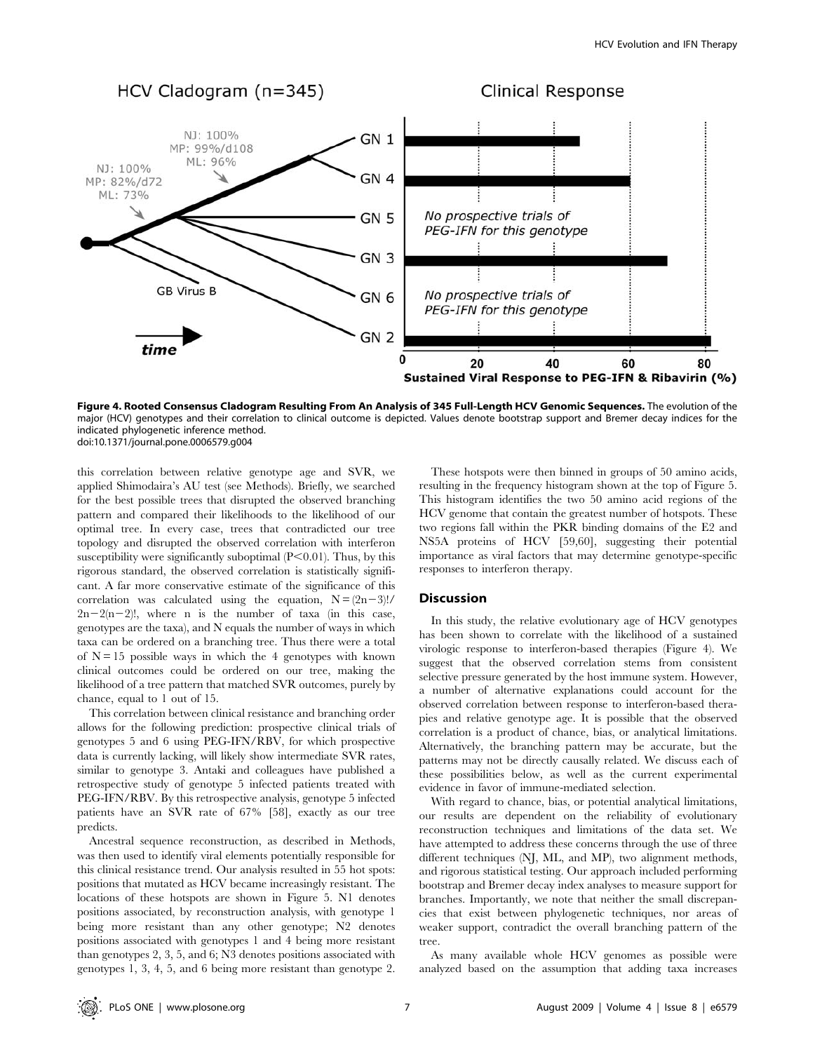

Figure 4. Rooted Consensus Cladogram Resulting From An Analysis of 345 Full-Length HCV Genomic Sequences. The evolution of the major (HCV) genotypes and their correlation to clinical outcome is depicted. Values denote bootstrap support and Bremer decay indices for the indicated phylogenetic inference method. doi:10.1371/journal.pone.0006579.g004

this correlation between relative genotype age and SVR, we applied Shimodaira's AU test (see Methods). Briefly, we searched for the best possible trees that disrupted the observed branching pattern and compared their likelihoods to the likelihood of our optimal tree. In every case, trees that contradicted our tree topology and disrupted the observed correlation with interferon susceptibility were significantly suboptimal  $(P<0.01)$ . Thus, by this rigorous standard, the observed correlation is statistically significant. A far more conservative estimate of the significance of this correlation was calculated using the equation,  $N = (2n-3)!/$  $2n-2(n-2)!$ , where n is the number of taxa (in this case, genotypes are the taxa), and N equals the number of ways in which taxa can be ordered on a branching tree. Thus there were a total of  $N = 15$  possible ways in which the 4 genotypes with known clinical outcomes could be ordered on our tree, making the likelihood of a tree pattern that matched SVR outcomes, purely by chance, equal to 1 out of 15.

This correlation between clinical resistance and branching order allows for the following prediction: prospective clinical trials of genotypes 5 and 6 using PEG-IFN/RBV, for which prospective data is currently lacking, will likely show intermediate SVR rates, similar to genotype 3. Antaki and colleagues have published a retrospective study of genotype 5 infected patients treated with PEG-IFN/RBV. By this retrospective analysis, genotype 5 infected patients have an SVR rate of 67% [58], exactly as our tree predicts.

Ancestral sequence reconstruction, as described in Methods, was then used to identify viral elements potentially responsible for this clinical resistance trend. Our analysis resulted in 55 hot spots: positions that mutated as HCV became increasingly resistant. The locations of these hotspots are shown in Figure 5. N1 denotes positions associated, by reconstruction analysis, with genotype 1 being more resistant than any other genotype; N2 denotes positions associated with genotypes 1 and 4 being more resistant than genotypes 2, 3, 5, and 6; N3 denotes positions associated with genotypes 1, 3, 4, 5, and 6 being more resistant than genotype 2.

These hotspots were then binned in groups of 50 amino acids, resulting in the frequency histogram shown at the top of Figure 5. This histogram identifies the two 50 amino acid regions of the HCV genome that contain the greatest number of hotspots. These two regions fall within the PKR binding domains of the E2 and NS5A proteins of HCV [59,60], suggesting their potential importance as viral factors that may determine genotype-specific responses to interferon therapy.

### **Discussion**

In this study, the relative evolutionary age of HCV genotypes has been shown to correlate with the likelihood of a sustained virologic response to interferon-based therapies (Figure 4). We suggest that the observed correlation stems from consistent selective pressure generated by the host immune system. However, a number of alternative explanations could account for the observed correlation between response to interferon-based therapies and relative genotype age. It is possible that the observed correlation is a product of chance, bias, or analytical limitations. Alternatively, the branching pattern may be accurate, but the patterns may not be directly causally related. We discuss each of these possibilities below, as well as the current experimental evidence in favor of immune-mediated selection.

With regard to chance, bias, or potential analytical limitations, our results are dependent on the reliability of evolutionary reconstruction techniques and limitations of the data set. We have attempted to address these concerns through the use of three different techniques (NJ, ML, and MP), two alignment methods, and rigorous statistical testing. Our approach included performing bootstrap and Bremer decay index analyses to measure support for branches. Importantly, we note that neither the small discrepancies that exist between phylogenetic techniques, nor areas of weaker support, contradict the overall branching pattern of the tree.

As many available whole HCV genomes as possible were analyzed based on the assumption that adding taxa increases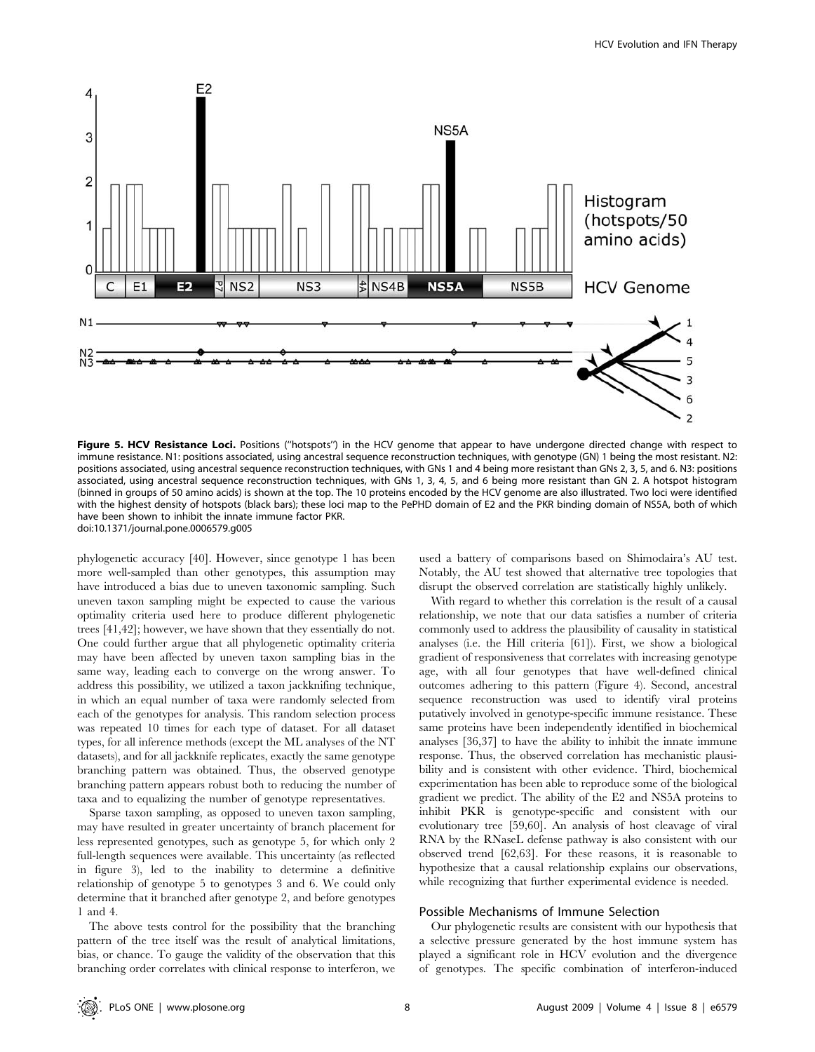

Figure 5. HCV Resistance Loci. Positions ("hotspots") in the HCV genome that appear to have undergone directed change with respect to immune resistance. N1: positions associated, using ancestral sequence reconstruction techniques, with genotype (GN) 1 being the most resistant. N2: positions associated, using ancestral sequence reconstruction techniques, with GNs 1 and 4 being more resistant than GNs 2, 3, 5, and 6. N3: positions associated, using ancestral sequence reconstruction techniques, with GNs 1, 3, 4, 5, and 6 being more resistant than GN 2. A hotspot histogram (binned in groups of 50 amino acids) is shown at the top. The 10 proteins encoded by the HCV genome are also illustrated. Two loci were identified with the highest density of hotspots (black bars); these loci map to the PePHD domain of E2 and the PKR binding domain of NS5A, both of which have been shown to inhibit the innate immune factor PKR. doi:10.1371/journal.pone.0006579.g005

phylogenetic accuracy [40]. However, since genotype 1 has been more well-sampled than other genotypes, this assumption may have introduced a bias due to uneven taxonomic sampling. Such uneven taxon sampling might be expected to cause the various optimality criteria used here to produce different phylogenetic trees [41,42]; however, we have shown that they essentially do not. One could further argue that all phylogenetic optimality criteria may have been affected by uneven taxon sampling bias in the same way, leading each to converge on the wrong answer. To address this possibility, we utilized a taxon jackknifing technique, in which an equal number of taxa were randomly selected from each of the genotypes for analysis. This random selection process was repeated 10 times for each type of dataset. For all dataset types, for all inference methods (except the ML analyses of the NT datasets), and for all jackknife replicates, exactly the same genotype branching pattern was obtained. Thus, the observed genotype branching pattern appears robust both to reducing the number of taxa and to equalizing the number of genotype representatives.

Sparse taxon sampling, as opposed to uneven taxon sampling, may have resulted in greater uncertainty of branch placement for less represented genotypes, such as genotype 5, for which only 2 full-length sequences were available. This uncertainty (as reflected in figure 3), led to the inability to determine a definitive relationship of genotype 5 to genotypes 3 and 6. We could only determine that it branched after genotype 2, and before genotypes 1 and 4.

The above tests control for the possibility that the branching pattern of the tree itself was the result of analytical limitations, bias, or chance. To gauge the validity of the observation that this branching order correlates with clinical response to interferon, we

used a battery of comparisons based on Shimodaira's AU test. Notably, the AU test showed that alternative tree topologies that disrupt the observed correlation are statistically highly unlikely.

With regard to whether this correlation is the result of a causal relationship, we note that our data satisfies a number of criteria commonly used to address the plausibility of causality in statistical analyses (i.e. the Hill criteria [61]). First, we show a biological gradient of responsiveness that correlates with increasing genotype age, with all four genotypes that have well-defined clinical outcomes adhering to this pattern (Figure 4). Second, ancestral sequence reconstruction was used to identify viral proteins putatively involved in genotype-specific immune resistance. These same proteins have been independently identified in biochemical analyses [36,37] to have the ability to inhibit the innate immune response. Thus, the observed correlation has mechanistic plausibility and is consistent with other evidence. Third, biochemical experimentation has been able to reproduce some of the biological gradient we predict. The ability of the E2 and NS5A proteins to inhibit PKR is genotype-specific and consistent with our evolutionary tree [59,60]. An analysis of host cleavage of viral RNA by the RNaseL defense pathway is also consistent with our observed trend [62,63]. For these reasons, it is reasonable to hypothesize that a causal relationship explains our observations, while recognizing that further experimental evidence is needed.

# Possible Mechanisms of Immune Selection

Our phylogenetic results are consistent with our hypothesis that a selective pressure generated by the host immune system has played a significant role in HCV evolution and the divergence of genotypes. The specific combination of interferon-induced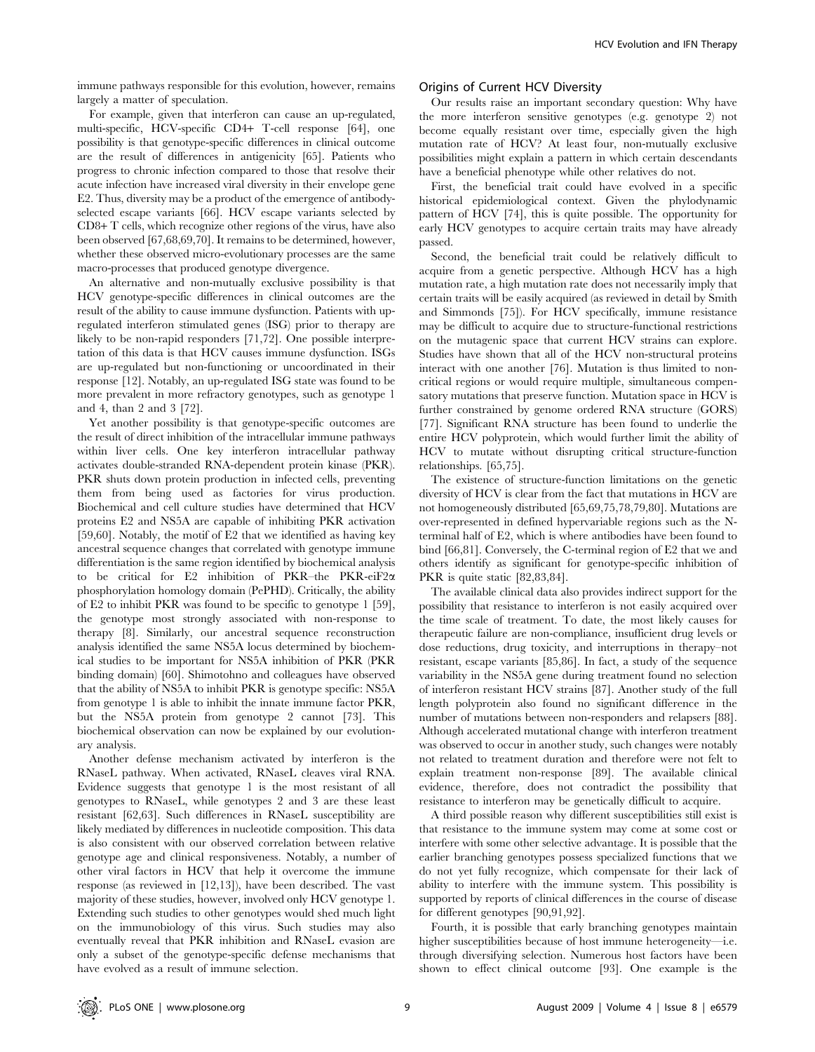immune pathways responsible for this evolution, however, remains largely a matter of speculation.

# For example, given that interferon can cause an up-regulated, multi-specific, HCV-specific CD4+ T-cell response [64], one possibility is that genotype-specific differences in clinical outcome are the result of differences in antigenicity [65]. Patients who progress to chronic infection compared to those that resolve their acute infection have increased viral diversity in their envelope gene E2. Thus, diversity may be a product of the emergence of antibodyselected escape variants [66]. HCV escape variants selected by CD8+ T cells, which recognize other regions of the virus, have also been observed [67,68,69,70]. It remains to be determined, however, whether these observed micro-evolutionary processes are the same macro-processes that produced genotype divergence.

An alternative and non-mutually exclusive possibility is that HCV genotype-specific differences in clinical outcomes are the result of the ability to cause immune dysfunction. Patients with upregulated interferon stimulated genes (ISG) prior to therapy are likely to be non-rapid responders [71,72]. One possible interpretation of this data is that HCV causes immune dysfunction. ISGs are up-regulated but non-functioning or uncoordinated in their response [12]. Notably, an up-regulated ISG state was found to be more prevalent in more refractory genotypes, such as genotype 1 and 4, than 2 and 3 [72].

Yet another possibility is that genotype-specific outcomes are the result of direct inhibition of the intracellular immune pathways within liver cells. One key interferon intracellular pathway activates double-stranded RNA-dependent protein kinase (PKR). PKR shuts down protein production in infected cells, preventing them from being used as factories for virus production. Biochemical and cell culture studies have determined that HCV proteins E2 and NS5A are capable of inhibiting PKR activation [59,60]. Notably, the motif of E2 that we identified as having key ancestral sequence changes that correlated with genotype immune differentiation is the same region identified by biochemical analysis to be critical for E2 inhibition of PKR–the PKR-eiF2a phosphorylation homology domain (PePHD). Critically, the ability of E2 to inhibit PKR was found to be specific to genotype 1 [59], the genotype most strongly associated with non-response to therapy [8]. Similarly, our ancestral sequence reconstruction analysis identified the same NS5A locus determined by biochemical studies to be important for NS5A inhibition of PKR (PKR binding domain) [60]. Shimotohno and colleagues have observed that the ability of NS5A to inhibit PKR is genotype specific: NS5A from genotype 1 is able to inhibit the innate immune factor PKR, but the NS5A protein from genotype 2 cannot [73]. This biochemical observation can now be explained by our evolutionary analysis.

Another defense mechanism activated by interferon is the RNaseL pathway. When activated, RNaseL cleaves viral RNA. Evidence suggests that genotype 1 is the most resistant of all genotypes to RNaseL, while genotypes 2 and 3 are these least resistant [62,63]. Such differences in RNaseL susceptibility are likely mediated by differences in nucleotide composition. This data is also consistent with our observed correlation between relative genotype age and clinical responsiveness. Notably, a number of other viral factors in HCV that help it overcome the immune response (as reviewed in [12,13]), have been described. The vast majority of these studies, however, involved only HCV genotype 1. Extending such studies to other genotypes would shed much light on the immunobiology of this virus. Such studies may also eventually reveal that PKR inhibition and RNaseL evasion are only a subset of the genotype-specific defense mechanisms that have evolved as a result of immune selection.

# Origins of Current HCV Diversity

Our results raise an important secondary question: Why have the more interferon sensitive genotypes (e.g. genotype 2) not become equally resistant over time, especially given the high mutation rate of HCV? At least four, non-mutually exclusive possibilities might explain a pattern in which certain descendants have a beneficial phenotype while other relatives do not.

First, the beneficial trait could have evolved in a specific historical epidemiological context. Given the phylodynamic pattern of HCV [74], this is quite possible. The opportunity for early HCV genotypes to acquire certain traits may have already passed.

Second, the beneficial trait could be relatively difficult to acquire from a genetic perspective. Although HCV has a high mutation rate, a high mutation rate does not necessarily imply that certain traits will be easily acquired (as reviewed in detail by Smith and Simmonds [75]). For HCV specifically, immune resistance may be difficult to acquire due to structure-functional restrictions on the mutagenic space that current HCV strains can explore. Studies have shown that all of the HCV non-structural proteins interact with one another [76]. Mutation is thus limited to noncritical regions or would require multiple, simultaneous compensatory mutations that preserve function. Mutation space in HCV is further constrained by genome ordered RNA structure (GORS) [77]. Significant RNA structure has been found to underlie the entire HCV polyprotein, which would further limit the ability of HCV to mutate without disrupting critical structure-function relationships. [65,75].

The existence of structure-function limitations on the genetic diversity of HCV is clear from the fact that mutations in HCV are not homogeneously distributed [65,69,75,78,79,80]. Mutations are over-represented in defined hypervariable regions such as the Nterminal half of E2, which is where antibodies have been found to bind [66,81]. Conversely, the C-terminal region of E2 that we and others identify as significant for genotype-specific inhibition of PKR is quite static [82,83,84].

The available clinical data also provides indirect support for the possibility that resistance to interferon is not easily acquired over the time scale of treatment. To date, the most likely causes for therapeutic failure are non-compliance, insufficient drug levels or dose reductions, drug toxicity, and interruptions in therapy–not resistant, escape variants [85,86]. In fact, a study of the sequence variability in the NS5A gene during treatment found no selection of interferon resistant HCV strains [87]. Another study of the full length polyprotein also found no significant difference in the number of mutations between non-responders and relapsers [88]. Although accelerated mutational change with interferon treatment was observed to occur in another study, such changes were notably not related to treatment duration and therefore were not felt to explain treatment non-response [89]. The available clinical evidence, therefore, does not contradict the possibility that resistance to interferon may be genetically difficult to acquire.

A third possible reason why different susceptibilities still exist is that resistance to the immune system may come at some cost or interfere with some other selective advantage. It is possible that the earlier branching genotypes possess specialized functions that we do not yet fully recognize, which compensate for their lack of ability to interfere with the immune system. This possibility is supported by reports of clinical differences in the course of disease for different genotypes [90,91,92].

Fourth, it is possible that early branching genotypes maintain higher susceptibilities because of host immune heterogeneity—i.e. through diversifying selection. Numerous host factors have been shown to effect clinical outcome [93]. One example is the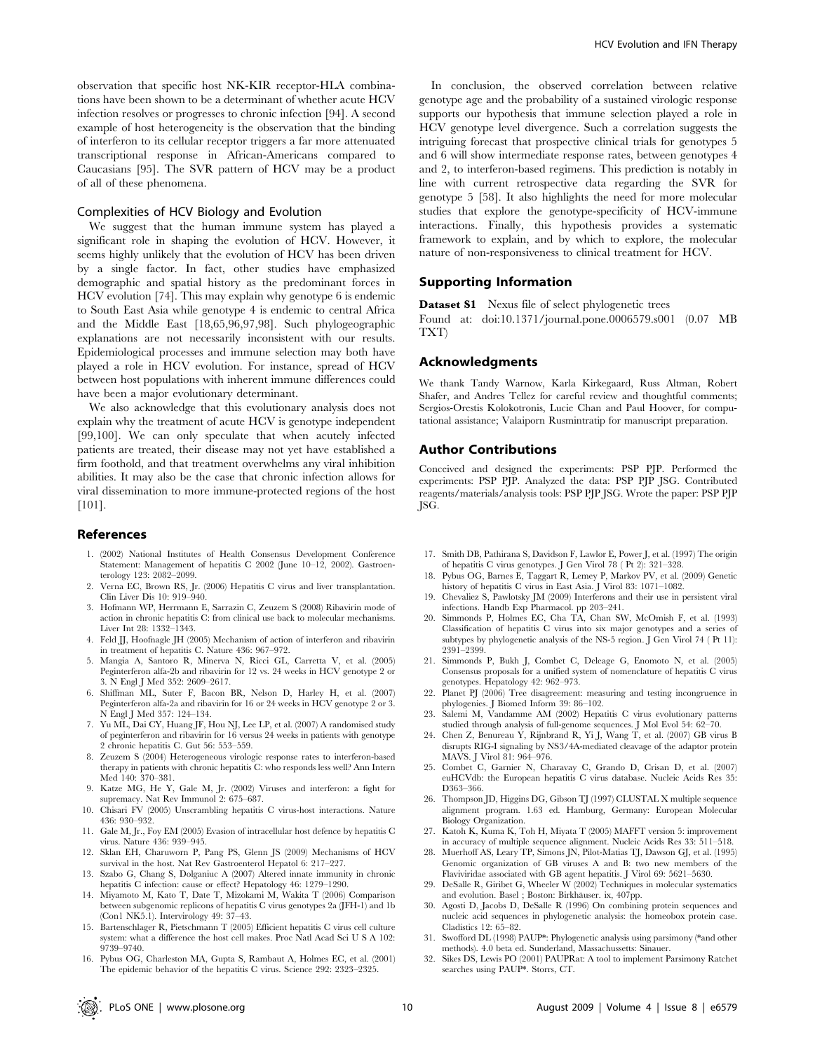observation that specific host NK-KIR receptor-HLA combinations have been shown to be a determinant of whether acute HCV infection resolves or progresses to chronic infection [94]. A second example of host heterogeneity is the observation that the binding of interferon to its cellular receptor triggers a far more attenuated transcriptional response in African-Americans compared to Caucasians [95]. The SVR pattern of HCV may be a product of all of these phenomena.

#### Complexities of HCV Biology and Evolution

We suggest that the human immune system has played a significant role in shaping the evolution of HCV. However, it seems highly unlikely that the evolution of HCV has been driven by a single factor. In fact, other studies have emphasized demographic and spatial history as the predominant forces in HCV evolution [74]. This may explain why genotype 6 is endemic to South East Asia while genotype 4 is endemic to central Africa and the Middle East [18,65,96,97,98]. Such phylogeographic explanations are not necessarily inconsistent with our results. Epidemiological processes and immune selection may both have played a role in HCV evolution. For instance, spread of HCV between host populations with inherent immune differences could have been a major evolutionary determinant.

We also acknowledge that this evolutionary analysis does not explain why the treatment of acute HCV is genotype independent [99,100]. We can only speculate that when acutely infected patients are treated, their disease may not yet have established a firm foothold, and that treatment overwhelms any viral inhibition abilities. It may also be the case that chronic infection allows for viral dissemination to more immune-protected regions of the host [101].

#### References

- 1. (2002) National Institutes of Health Consensus Development Conference Statement: Management of hepatitis C 2002 (June 10–12, 2002). Gastroenterology 123: 2082–2099.
- 2. Verna EC, Brown RS, Jr. (2006) Hepatitis C virus and liver transplantation. Clin Liver Dis 10: 919–940.
- 3. Hofmann WP, Herrmann E, Sarrazin C, Zeuzem S (2008) Ribavirin mode of action in chronic hepatitis C: from clinical use back to molecular mechanisms. Liver Int 28: 1332–1343.
- 4. Feld JJ, Hoofnagle JH (2005) Mechanism of action of interferon and ribavirin in treatment of hepatitis C. Nature 436: 967–972.
- 5. Mangia A, Santoro R, Minerva N, Ricci GL, Carretta V, et al. (2005) Peginterferon alfa-2b and ribavirin for 12 vs. 24 weeks in HCV genotype 2 or 3. N Engl J Med 352: 2609–2617.
- 6. Shiffman ML, Suter F, Bacon BR, Nelson D, Harley H, et al. (2007) Peginterferon alfa-2a and ribavirin for 16 or 24 weeks in HCV genotype 2 or 3. N Engl J Med 357: 124–134.
- 7. Yu ML, Dai CY, Huang JF, Hou NJ, Lee LP, et al. (2007) A randomised study of peginterferon and ribavirin for 16 versus 24 weeks in patients with genotype 2 chronic hepatitis C. Gut 56: 553–559.
- 8. Zeuzem S (2004) Heterogeneous virologic response rates to interferon-based therapy in patients with chronic hepatitis C: who responds less well? Ann Intern Med 140: 370–381.
- 9. Katze MG, He Y, Gale M, Jr. (2002) Viruses and interferon: a fight for supremacy. Nat Rev Immunol 2: 675–687.
- 10. Chisari FV (2005) Unscrambling hepatitis C virus-host interactions. Nature 436: 930–932.
- 11. Gale M, Jr., Foy EM (2005) Evasion of intracellular host defence by hepatitis C virus. Nature 436: 939–945.
- 12. Sklan EH, Charuworn P, Pang PS, Glenn JS (2009) Mechanisms of HCV survival in the host. Nat Rev Gastroenterol Hepatol 6: 217–227.
- 13. Szabo G, Chang S, Dolganiuc A (2007) Altered innate immunity in chronic hepatitis C infection: cause or effect? Hepatology 46: 1279–1290.
- 14. Miyamoto M, Kato T, Date T, Mizokami M, Wakita T (2006) Comparison between subgenomic replicons of hepatitis C virus genotypes 2a (JFH-1) and 1b (Con1 NK5.1). Intervirology 49: 37–43.
- 15. Bartenschlager R, Pietschmann T (2005) Efficient hepatitis C virus cell culture system: what a difference the host cell makes. Proc Natl Acad Sci U S A 102: 9739–9740.
- 16. Pybus OG, Charleston MA, Gupta S, Rambaut A, Holmes EC, et al. (2001) The epidemic behavior of the hepatitis C virus. Science 292: 2323–2325.

In conclusion, the observed correlation between relative genotype age and the probability of a sustained virologic response supports our hypothesis that immune selection played a role in HCV genotype level divergence. Such a correlation suggests the intriguing forecast that prospective clinical trials for genotypes 5 and 6 will show intermediate response rates, between genotypes 4 and 2, to interferon-based regimens. This prediction is notably in line with current retrospective data regarding the SVR for genotype 5 [58]. It also highlights the need for more molecular studies that explore the genotype-specificity of HCV-immune interactions. Finally, this hypothesis provides a systematic framework to explain, and by which to explore, the molecular nature of non-responsiveness to clinical treatment for HCV.

#### Supporting Information

Dataset S1 Nexus file of select phylogenetic trees

Found at: doi:10.1371/journal.pone.0006579.s001 (0.07 MB TXT)

#### Acknowledgments

We thank Tandy Warnow, Karla Kirkegaard, Russ Altman, Robert Shafer, and Andres Tellez for careful review and thoughtful comments; Sergios-Orestis Kolokotronis, Lucie Chan and Paul Hoover, for computational assistance; Valaiporn Rusmintratip for manuscript preparation.

#### Author Contributions

Conceived and designed the experiments: PSP PJP. Performed the experiments: PSP PJP. Analyzed the data: PSP PJP JSG. Contributed reagents/materials/analysis tools: PSP PJP JSG. Wrote the paper: PSP PJP JSG.

- 17. Smith DB, Pathirana S, Davidson F, Lawlor E, Power J, et al. (1997) The origin of hepatitis C virus genotypes. J Gen Virol 78 ( Pt 2): 321–328.
- 18. Pybus OG, Barnes E, Taggart R, Lemey P, Markov PV, et al. (2009) Genetic history of hepatitis C virus in East Asia. J Virol 83: 1071–1082.
- 19. Chevaliez S, Pawlotsky JM (2009) Interferons and their use in persistent viral infections. Handb Exp Pharmacol. pp 203–241.
- 20. Simmonds P, Holmes EC, Cha TA, Chan SW, McOmish F, et al. (1993) Classification of hepatitis C virus into six major genotypes and a series of subtypes by phylogenetic analysis of the NS-5 region. J Gen Virol 74 ( Pt 11): 2391–2399.
- 21. Simmonds P, Bukh J, Combet C, Deleage G, Enomoto N, et al. (2005) Consensus proposals for a unified system of nomenclature of hepatitis C virus genotypes. Hepatology 42: 962–973.
- 22. Planet PJ (2006) Tree disagreement: measuring and testing incongruence in phylogenies. J Biomed Inform 39: 86–102.
- 23. Salemi M, Vandamme AM (2002) Hepatitis C virus evolutionary patterns studied through analysis of full-genome sequences. J Mol Evol 54: 62–70.
- 24. Chen Z, Benureau Y, Rijnbrand R, Yi J, Wang T, et al. (2007) GB virus B disrupts RIG-I signaling by NS3/4A-mediated cleavage of the adaptor protein MAVS. J Virol 81: 964–976.
- 25. Combet C, Garnier N, Charavay C, Grando D, Crisan D, et al. (2007) euHCVdb: the European hepatitis C virus database. Nucleic Acids Res 35: D363–366.
- 26. Thompson JD, Higgins DG, Gibson TJ (1997) CLUSTAL X multiple sequence alignment program. 1.63 ed. Hamburg, Germany: European Molecular Biology Organization.
- 27. Katoh K, Kuma K, Toh H, Miyata T (2005) MAFFT version 5: improvement in accuracy of multiple sequence alignment. Nucleic Acids Res 33: 511–518.
- 28. Muerhoff AS, Leary TP, Simons JN, Pilot-Matias TJ, Dawson GJ, et al. (1995) Genomic organization of GB viruses A and B: two new members of the Flaviviridae associated with GB agent hepatitis. J Virol 69: 5621–5630.
- 29. DeSalle R, Giribet G, Wheeler W (2002) Techniques in molecular systematics and evolution. Basel ; Boston: Birkhäuser. ix, 407pp.
- 30. Agosti D, Jacobs D, DeSalle R (1996) On combining protein sequences and nucleic acid sequences in phylogenetic analysis: the homeobox protein case. Cladistics 12: 65-82.
- 31. Swofford DL (1998) PAUP\*: Phylogenetic analysis using parsimony (\*and other methods). 4.0 beta ed. Sunderland, Massachussetts: Sinauer.
- 32. Sikes DS, Lewis PO (2001) PAUPRat: A tool to implement Parsimony Ratchet searches using PAUP\*. Storrs, CT.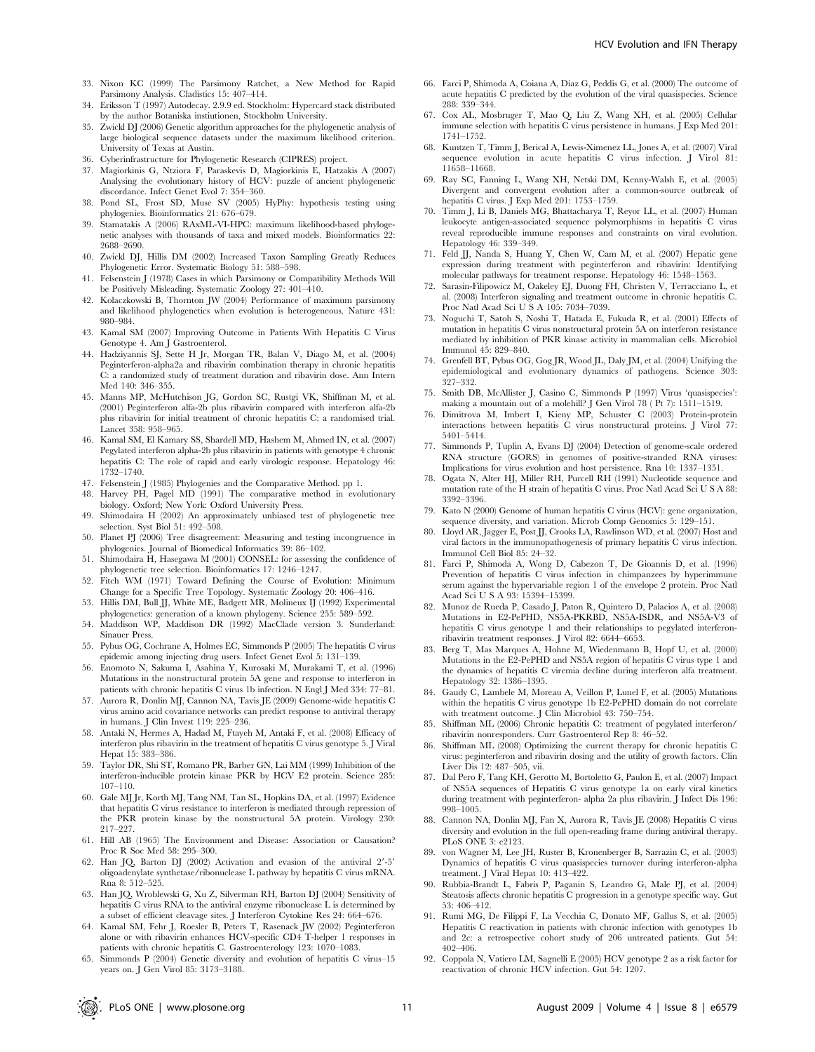- 33. Nixon KC (1999) The Parsimony Ratchet, a New Method for Rapid Parsimony Analysis. Cladistics 15: 407–414.
- 34. Eriksson T (1997) Autodecay. 2.9.9 ed. Stockholm: Hypercard stack distributed by the author Botaniska instiutionen, Stockholm University.
- 35. Zwickl DJ (2006) Genetic algorithm approaches for the phylogenetic analysis of large biological sequence datasets under the maximum likelihood criterion. University of Texas at Austin.
- 36. Cyberinfrastructure for Phylogenetic Research (CIPRES) project.
- 37. Magiorkinis G, Ntziora F, Paraskevis D, Magiorkinis E, Hatzakis A (2007) Analysing the evolutionary history of HCV: puzzle of ancient phylogenetic discordance. Infect Genet Evol 7: 354–360.
- 38. Pond SL, Frost SD, Muse SV (2005) HyPhy: hypothesis testing using phylogenies. Bioinformatics 21: 676–679.
- Stamatakis A (2006) RAxML-VI-HPC: maximum likelihood-based phylogenetic analyses with thousands of taxa and mixed models. Bioinformatics 22: 2688–2690.
- 40. Zwickl DJ, Hillis DM (2002) Increased Taxon Sampling Greatly Reduces Phylogenetic Error. Systematic Biology 51: 588–598.
- 41. Felsenstein J (1978) Cases in which Parsimony or Compatibility Methods Will be Positively Misleading. Systematic Zoology 27: 401–410.
- 42. Kolaczkowski B, Thornton JW (2004) Performance of maximum parsimony and likelihood phylogenetics when evolution is heterogeneous. Nature 431: 980–984.
- 43. Kamal SM (2007) Improving Outcome in Patients With Hepatitis C Virus Genotype 4. Am J Gastroenterol.
- 44. Hadziyannis SJ, Sette H Jr, Morgan TR, Balan V, Diago M, et al. (2004) Peginterferon-alpha2a and ribavirin combination therapy in chronic hepatitis C: a randomized study of treatment duration and ribavirin dose. Ann Intern Med 140: 346–355.
- 45. Manns MP, McHutchison JG, Gordon SC, Rustgi VK, Shiffman M, et al. (2001) Peginterferon alfa-2b plus ribavirin compared with interferon alfa-2b plus ribavirin for initial treatment of chronic hepatitis C: a randomised trial. Lancet 358: 958–965.
- 46. Kamal SM, El Kamary SS, Shardell MD, Hashem M, Ahmed IN, et al. (2007) Pegylated interferon alpha-2b plus ribavirin in patients with genotype 4 chronic hepatitis C: The role of rapid and early virologic response. Hepatology 46: 1732–1740.
- 47. Felsenstein J (1985) Phylogenies and the Comparative Method. pp 1.
- 48. Harvey PH, Pagel MD (1991) The comparative method in evolutionary
- biology. Oxford; New York: Oxford University Press. 49. Shimodaira H (2002) An approximately unbiased test of phylogenetic tree selection. Syst Biol 51: 492–508.
- 50. Planet PJ (2006) Tree disagreement: Measuring and testing incongruence in phylogenies. Journal of Biomedical Informatics 39: 86–102.
- 51. Shimodaira H, Hasegawa M (2001) CONSEL: for assessing the confidence of phylogenetic tree selection. Bioinformatics 17: 1246–1247.
- Fitch WM (1971) Toward Defining the Course of Evolution: Minimum Change for a Specific Tree Topology. Systematic Zoology 20: 406–416.
- 53. Hillis DM, Bull JJ, White ME, Badgett MR, Molineux IJ (1992) Experimental phylogenetics: generation of a known phylogeny. Science 255: 589–592.
- 54. Maddison WP, Maddison DR (1992) MacClade version 3. Sunderland: Sinauer Press.
- 55. Pybus OG, Cochrane A, Holmes EC, Simmonds P (2005) The hepatitis C virus epidemic among injecting drug users. Infect Genet Evol 5: 131–139.
- 56. Enomoto N, Sakuma I, Asahina Y, Kurosaki M, Murakami T, et al. (1996) Mutations in the nonstructural protein 5A gene and response to interferon in patients with chronic hepatitis C virus 1b infection. N Engl J Med 334: 77–81.
- 57. Aurora R, Donlin MJ, Cannon NA, Tavis JE (2009) Genome-wide hepatitis C virus amino acid covariance networks can predict response to antiviral therapy in humans. J Clin Invest 119: 225–236.
- 58. Antaki N, Hermes A, Hadad M, Ftayeh M, Antaki F, et al. (2008) Efficacy of interferon plus ribavirin in the treatment of hepatitis C virus genotype 5. J Viral Hepat 15: 383–386.
- 59. Taylor DR, Shi ST, Romano PR, Barber GN, Lai MM (1999) Inhibition of the interferon-inducible protein kinase PKR by HCV E2 protein. Science 285: 107–110.
- 60. Gale MJ Jr, Korth MJ, Tang NM, Tan SL, Hopkins DA, et al. (1997) Evidence that hepatitis C virus resistance to interferon is mediated through repression of the PKR protein kinase by the nonstructural 5A protein. Virology 230: 217–227.
- 61. Hill AB (1965) The Environment and Disease: Association or Causation? Proc R Soc Med 58: 295–300.
- 62. Han JQ, Barton DJ (2002) Activation and evasion of the antiviral 2'-5' oligoadenylate synthetase/ribonuclease L pathway by hepatitis C virus mRNA. Rna 8: 512–525.
- 63. Han JQ, Wroblewski G, Xu Z, Silverman RH, Barton DJ (2004) Sensitivity of hepatitis C virus RNA to the antiviral enzyme ribonuclease L is determined by a subset of efficient cleavage sites. J Interferon Cytokine Res 24: 664–676.
- 64. Kamal SM, Fehr J, Roesler B, Peters T, Rasenack JW (2002) Peginterferon alone or with ribavirin enhances HCV-specific CD4 T-helper 1 responses in patients with chronic hepatitis C. Gastroenterology 123: 1070–1083.
- 65. Simmonds P (2004) Genetic diversity and evolution of hepatitis C virus–15 years on. J Gen Virol 85: 3173–3188.
- 66. Farci P, Shimoda A, Coiana A, Diaz G, Peddis G, et al. (2000) The outcome of acute hepatitis C predicted by the evolution of the viral quasispecies. Science 288: 339–344.
- 67. Cox AL, Mosbruger T, Mao Q, Liu Z, Wang XH, et al. (2005) Cellular immune selection with hepatitis C virus persistence in humans. J Exp Med 201: 1741–1752.
- 68. Kuntzen T, Timm J, Berical A, Lewis-Ximenez LL, Jones A, et al. (2007) Viral sequence evolution in acute hepatitis C virus infection. J Virol 81: 11658–11668.
- 69. Ray SC, Fanning L, Wang XH, Netski DM, Kenny-Walsh E, et al. (2005) Divergent and convergent evolution after a common-source outbreak of hepatitis C virus. J Exp Med 201: 1753–1759.
- 70. Timm J, Li B, Daniels MG, Bhattacharya T, Reyor LL, et al. (2007) Human leukocyte antigen-associated sequence polymorphisms in hepatitis C virus reveal reproducible immune responses and constraints on viral evolution. Hepatology 46: 339–349.
- 71. Feld JJ, Nanda S, Huang Y, Chen W, Cam M, et al. (2007) Hepatic gene expression during treatment with peginterferon and ribavirin: Identifying molecular pathways for treatment response. Hepatology 46: 1548–1563.
- 72. Sarasin-Filipowicz M, Oakeley EJ, Duong FH, Christen V, Terracciano L, et al. (2008) Interferon signaling and treatment outcome in chronic hepatitis C. Proc Natl Acad Sci U S A 105: 7034–7039.
- 73. Noguchi T, Satoh S, Noshi T, Hatada E, Fukuda R, et al. (2001) Effects of mutation in hepatitis C virus nonstructural protein 5A on interferon resistance mediated by inhibition of PKR kinase activity in mammalian cells. Microbiol Immunol 45: 829–840.
- 74. Grenfell BT, Pybus OG, Gog JR, Wood JL, Daly JM, et al. (2004) Unifying the epidemiological and evolutionary dynamics of pathogens. Science 303: 327–332.
- 75. Smith DB, McAllister J, Casino C, Simmonds P (1997) Virus 'quasispecies': making a mountain out of a molehill? J Gen Virol 78 ( Pt 7): 1511–1519.
- 76. Dimitrova M, Imbert I, Kieny MP, Schuster C (2003) Protein-protein interactions between hepatitis C virus nonstructural proteins. J Virol 77: 5401–5414.
- 77. Simmonds P, Tuplin A, Evans DJ (2004) Detection of genome-scale ordered RNA structure (GORS) in genomes of positive-stranded RNA viruses: Implications for virus evolution and host persistence. Rna 10: 1337–1351.
- 78. Ogata N, Alter HJ, Miller RH, Purcell RH (1991) Nucleotide sequence and mutation rate of the H strain of hepatitis C virus. Proc Natl Acad Sci U S A 88: 3392–3396.
- Kato N (2000) Genome of human hepatitis C virus (HCV): gene organization, sequence diversity, and variation. Microb Comp Genomics 5: 129–151.
- 80. Lloyd AR, Jagger E, Post JJ, Crooks LA, Rawlinson WD, et al. (2007) Host and viral factors in the immunopathogenesis of primary hepatitis C virus infection. Immunol Cell Biol 85: 24–32.
- 81. Farci P, Shimoda A, Wong D, Cabezon T, De Gioannis D, et al. (1996) Prevention of hepatitis C virus infection in chimpanzees by hyperimmune serum against the hypervariable region 1 of the envelope 2 protein. Proc Natl Acad Sci U S A 93: 15394–15399.
- 82. Munoz de Rueda P, Casado J, Paton R, Quintero D, Palacios A, et al. (2008) Mutations in E2-PePHD, NS5A-PKRBD, NS5A-ISDR, and NS5A-V3 of hepatitis C virus genotype 1 and their relationships to pegylated interferonribavirin treatment responses. J Virol 82: 6644–6653.
- 83. Berg T, Mas Marques A, Hohne M, Wiedenmann B, Hopf U, et al. (2000) Mutations in the E2-PePHD and NS5A region of hepatitis C virus type 1 and the dynamics of hepatitis C viremia decline during interferon alfa treatment. Hepatology 32: 1386–1395.
- 84. Gaudy C, Lambele M, Moreau A, Veillon P, Lunel F, et al. (2005) Mutations within the hepatitis C virus genotype 1b E2-PePHD domain do not correlate with treatment outcome. J Clin Microbiol 43: 750–754.
- 85. Shiffman ML (2006) Chronic hepatitis C: treatment of pegylated interferon/ ribavirin nonresponders. Curr Gastroenterol Rep 8: 46–52.
- 86. Shiffman ML (2008) Optimizing the current therapy for chronic hepatitis C virus: peginterferon and ribavirin dosing and the utility of growth factors. Clin Liver Dis 12: 487–505, vii.
- 87. Dal Pero F, Tang KH, Gerotto M, Bortoletto G, Paulon E, et al. (2007) Impact of NS5A sequences of Hepatitis C virus genotype 1a on early viral kinetics during treatment with peginterferon- alpha 2a plus ribavirin. J Infect Dis 196: 998–1005.
- 88. Cannon NA, Donlin MJ, Fan X, Aurora R, Tavis JE (2008) Hepatitis C virus diversity and evolution in the full open-reading frame during antiviral therapy. PLoS ONE 3: e2123.
- 89. von Wagner M, Lee JH, Ruster B, Kronenberger B, Sarrazin C, et al. (2003) Dynamics of hepatitis C virus quasispecies turnover during interferon-alpha treatment. J Viral Hepat 10: 413–422.
- 90. Rubbia-Brandt L, Fabris P, Paganin S, Leandro G, Male PJ, et al. (2004) Steatosis affects chronic hepatitis C progression in a genotype specific way. Gut 53: 406–412.
- 91. Rumi MG, De Filippi F, La Vecchia C, Donato MF, Gallus S, et al. (2005) Hepatitis C reactivation in patients with chronic infection with genotypes 1b and 2c: a retrospective cohort study of 206 untreated patients. Gut 54: 402–406.
- 92. Coppola N, Vatiero LM, Sagnelli E (2005) HCV genotype 2 as a risk factor for reactivation of chronic HCV infection. Gut 54: 1207.